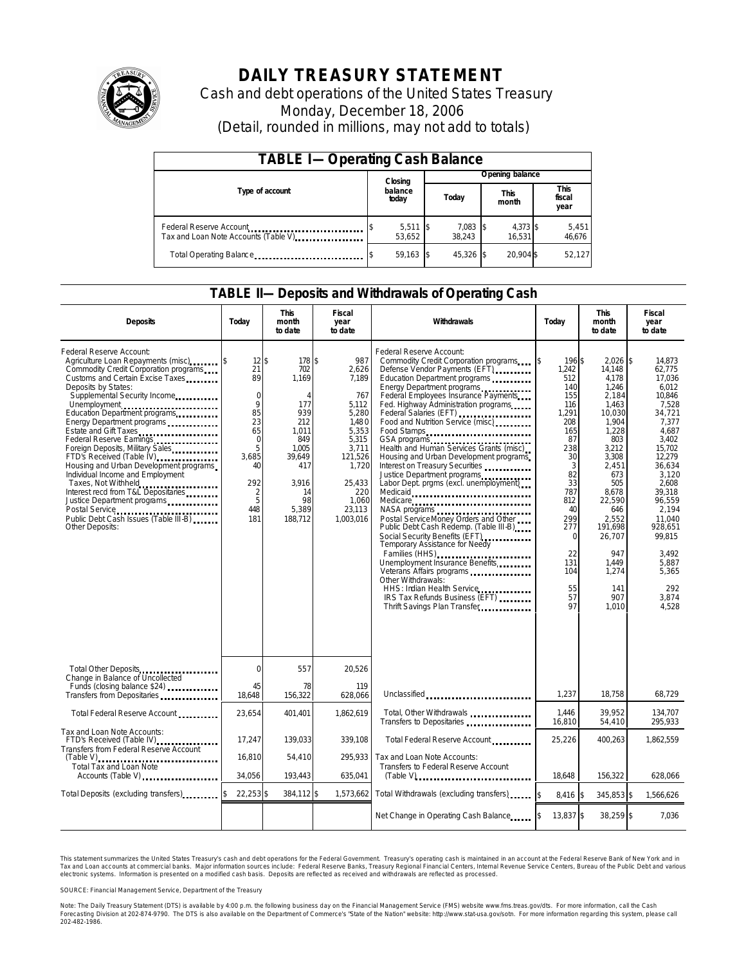

# **DAILY TREASURY STATEMENT**

Cash and debt operations of the United States Treasury Monday, December 18, 2006 (Detail, rounded in millions, may not add to totals)

| <b>TABLE I-Operating Cash Balance</b>                           |                             |  |                 |                            |                               |  |  |  |
|-----------------------------------------------------------------|-----------------------------|--|-----------------|----------------------------|-------------------------------|--|--|--|
|                                                                 | Closing<br>balance<br>today |  | Opening balance |                            |                               |  |  |  |
| Type of account                                                 |                             |  | Today           | <b>This</b><br>month       | <b>This</b><br>fiscal<br>year |  |  |  |
| Federal Reserve Account<br>Tax and Loan Note Accounts (Table V) | $5,511$ \$<br>53.652        |  | 7,083<br>38.243 | 4,373 \$<br>-1\$<br>16.531 | 5,451<br>46,676               |  |  |  |
| Total Operating Balance                                         | $59,163$ \$                 |  | 45,326 \$       | 20.904 \$                  | 52.127                        |  |  |  |

### **TABLE II—Deposits and Withdrawals of Operating Cash**

| <b>Deposits</b>                                                                                                                                                                                                                                                                                                                                                                                                                                                                                                                                                                               | Today                                                                                                                              | <b>This</b><br>month<br>to date                                                                                                                  | Fiscal<br>year<br>to date                                                                                                                               | Withdrawals                                                                                                                                                                                                                                                                                                                                                                                                                                                                                                                                                                                                                                                                                                                                                                                                                                                                                                 | Today                                                                                                                                                                                                       | <b>This</b><br>month<br>to date                                                                                                                                                                                                              | <b>Fiscal</b><br>year<br>to date                                                                                                                                                                                                                            |
|-----------------------------------------------------------------------------------------------------------------------------------------------------------------------------------------------------------------------------------------------------------------------------------------------------------------------------------------------------------------------------------------------------------------------------------------------------------------------------------------------------------------------------------------------------------------------------------------------|------------------------------------------------------------------------------------------------------------------------------------|--------------------------------------------------------------------------------------------------------------------------------------------------|---------------------------------------------------------------------------------------------------------------------------------------------------------|-------------------------------------------------------------------------------------------------------------------------------------------------------------------------------------------------------------------------------------------------------------------------------------------------------------------------------------------------------------------------------------------------------------------------------------------------------------------------------------------------------------------------------------------------------------------------------------------------------------------------------------------------------------------------------------------------------------------------------------------------------------------------------------------------------------------------------------------------------------------------------------------------------------|-------------------------------------------------------------------------------------------------------------------------------------------------------------------------------------------------------------|----------------------------------------------------------------------------------------------------------------------------------------------------------------------------------------------------------------------------------------------|-------------------------------------------------------------------------------------------------------------------------------------------------------------------------------------------------------------------------------------------------------------|
| Federal Reserve Account:<br>Agriculture Loan Repayments (misc)<br>Commodity Credit Corporation programs<br>Customs and Certain Excise Taxes<br>Deposits by States:<br>Supplemental Security Income<br>Energy Department programs<br>Estate and Gift Taxes<br>Federal Reserve Earnings<br>Foreign Deposits, Military Sales<br>FTD's Received (Table IV)<br>Housing and Urban Development programs<br>Individual Income and Employment<br>Taxes, Not Withheld<br>Interest recd from T&L Depositaries<br>Justice Department programs<br>Public Debt Cash Issues (Table III-B)<br>Other Deposits: | $12$ \$<br>21<br>89<br>$\mathbf 0$<br>9<br>85<br>23<br>65<br>$\mathbf 0$<br>5<br>3,685<br>40<br>292<br>$\frac{2}{5}$<br>448<br>181 | 178 \$<br>702<br>1,169<br>$\overline{A}$<br>177<br>939<br>212<br>1.011<br>849<br>1.005<br>39,649<br>417<br>3.916<br>14<br>98<br>5,389<br>188,712 | 987<br>2,626<br>7,189<br>767<br>5,112<br>5,280<br>1,480<br>5,353<br>5,315<br>3.711<br>121,526<br>1,720<br>25.433<br>220<br>1,060<br>23,113<br>1,003,016 | Federal Reserve Account:<br>Commodity Credit Corporation programs<br>Defense Vendor Payments (EFT)<br>Education Department programs<br>Energy Department programs<br>Federal Employees Insurance Payments<br>Fed. Highway Administration programs<br>Federal Salaries (EFT)<br>Food and Nutrition Service (misc)<br>Food Stamps<br>Health and Human Services Grants (misc)<br>Housing and Urban Development programs<br>Interest on Treasury Securities<br>Justice Department programs<br>Labor Dept. prgms (excl. unemployment)<br>Medicaid<br>Medicare<br>NASA programs<br>Postal ServiceMoney Orders and Other<br>Public Debt Cash Redemp. (Table III-B)<br>Social Security Benefits (EFT)<br>Temporary Assistance for Needy<br>Families (HHS)<br>Unemployment Insurance Benefits<br>Other Withdrawals:<br>HHS: Indian Health Service.<br>IRS Tax Refunds Business (EFT)<br>Thrift Savings Plan Transfer | 196 \$<br><sup>\$</sup><br>1,242<br>512<br>140<br>155<br>116<br>1,291<br>208<br>165<br>87<br>238<br>30<br>3<br>82<br>33<br>787<br>812<br>40<br>299<br>277<br>$\Omega$<br>22<br>131<br>104<br>55<br>57<br>97 | $2,026$ \$<br>14.148<br>4.178<br>1.246<br>2,184<br>1,463<br>10,030<br>1,904<br>1,228<br>803<br>3.212<br>3,308<br>2,451<br>673<br>505<br>8.678<br>22,590<br>646<br>2,552<br>191,698<br>26,707<br>947<br>1,449<br>1,274<br>141<br>907<br>1.010 | 14,873<br>62.775<br>17.036<br>6.012<br>10,846<br>7,528<br>34,721<br>7,377<br>4.687<br>3,402<br>15.702<br>12,279<br>36.634<br>3.120<br>2.608<br>39.318<br>96,559<br>2.194<br>11.040<br>928.651<br>99.815<br>3.492<br>5,887<br>5,365<br>292<br>3.874<br>4,528 |
| Total Other Deposits                                                                                                                                                                                                                                                                                                                                                                                                                                                                                                                                                                          | $\Omega$                                                                                                                           | 557                                                                                                                                              | 20,526                                                                                                                                                  |                                                                                                                                                                                                                                                                                                                                                                                                                                                                                                                                                                                                                                                                                                                                                                                                                                                                                                             |                                                                                                                                                                                                             |                                                                                                                                                                                                                                              |                                                                                                                                                                                                                                                             |
| Change in Balance of Uncollected<br>Funds (closing balance \$24)                                                                                                                                                                                                                                                                                                                                                                                                                                                                                                                              | 45<br>18,648                                                                                                                       | 78<br>156,322                                                                                                                                    | 119<br>628,066                                                                                                                                          | Unclassified                                                                                                                                                                                                                                                                                                                                                                                                                                                                                                                                                                                                                                                                                                                                                                                                                                                                                                | 1,237                                                                                                                                                                                                       | 18.758                                                                                                                                                                                                                                       | 68.729                                                                                                                                                                                                                                                      |
| Total Federal Reserve Account                                                                                                                                                                                                                                                                                                                                                                                                                                                                                                                                                                 | 23,654                                                                                                                             | 401.401                                                                                                                                          | 1.862.619                                                                                                                                               | Total, Other Withdrawals<br>Transfers to Depositaries                                                                                                                                                                                                                                                                                                                                                                                                                                                                                                                                                                                                                                                                                                                                                                                                                                                       | 1,446<br>16,810                                                                                                                                                                                             | 39.952<br>54,410                                                                                                                                                                                                                             | 134,707<br>295,933                                                                                                                                                                                                                                          |
| Tax and Loan Note Accounts:<br>FTD's Received (Table IV)<br>Transfers from Federal Reserve Account                                                                                                                                                                                                                                                                                                                                                                                                                                                                                            | 17.247                                                                                                                             | 139.033                                                                                                                                          | 339.108                                                                                                                                                 | Total Federal Reserve Account                                                                                                                                                                                                                                                                                                                                                                                                                                                                                                                                                                                                                                                                                                                                                                                                                                                                               | 25,226                                                                                                                                                                                                      | 400,263                                                                                                                                                                                                                                      | 1.862.559                                                                                                                                                                                                                                                   |
| $(Table V)$<br>Total Tax and Loan Note<br>Accounts (Table V)                                                                                                                                                                                                                                                                                                                                                                                                                                                                                                                                  | 16,810<br>34,056                                                                                                                   | 54,410<br>193,443                                                                                                                                | 295,933<br>635,041                                                                                                                                      | Tax and Loan Note Accounts:<br>Transfers to Federal Reserve Account<br>$(Table V)$                                                                                                                                                                                                                                                                                                                                                                                                                                                                                                                                                                                                                                                                                                                                                                                                                          | 18,648                                                                                                                                                                                                      | 156,322                                                                                                                                                                                                                                      | 628,066                                                                                                                                                                                                                                                     |
| Total Deposits (excluding transfers)                                                                                                                                                                                                                                                                                                                                                                                                                                                                                                                                                          | 22,253 \$                                                                                                                          | 384,112 \$                                                                                                                                       | 1,573,662                                                                                                                                               | Total Withdrawals (excluding transfers)                                                                                                                                                                                                                                                                                                                                                                                                                                                                                                                                                                                                                                                                                                                                                                                                                                                                     | 8,416 \$                                                                                                                                                                                                    | 345,853 \$                                                                                                                                                                                                                                   | 1,566,626                                                                                                                                                                                                                                                   |
|                                                                                                                                                                                                                                                                                                                                                                                                                                                                                                                                                                                               |                                                                                                                                    |                                                                                                                                                  |                                                                                                                                                         | Net Change in Operating Cash Balance                                                                                                                                                                                                                                                                                                                                                                                                                                                                                                                                                                                                                                                                                                                                                                                                                                                                        | 13,837 \$                                                                                                                                                                                                   | 38,259 \$                                                                                                                                                                                                                                    | 7.036                                                                                                                                                                                                                                                       |

This statement summarizes the United States Treasury's cash and debt operations for the Federal Government. Treasury's operating cash is maintained in an account at the Federal Reserve Bank of New York and in Tax and Loan accounts at commercial banks. Major information sources include: Federal Reserve Banks, Treasury Regional Financial Centers, Internal Revenue Service Centers, Bureau of the Public Debt and various<br>electronic s

SOURCE: Financial Management Service, Department of the Treasury

Note: The Daily Treasury Statement (DTS) is available by 4:00 p.m. the following business day on the Financial Management Service (FMS) website www.fms.treas.gov/dts.<br>Forecasting Division at 202-874-9790. The DTS is also a [S] is available by 4:00 p.m. the following business day on the Financial Management Service (FMS) website www.fms.treas.gov/dts. For more information, call the Cash<br>The DTS is also available on the Department of Commerce'